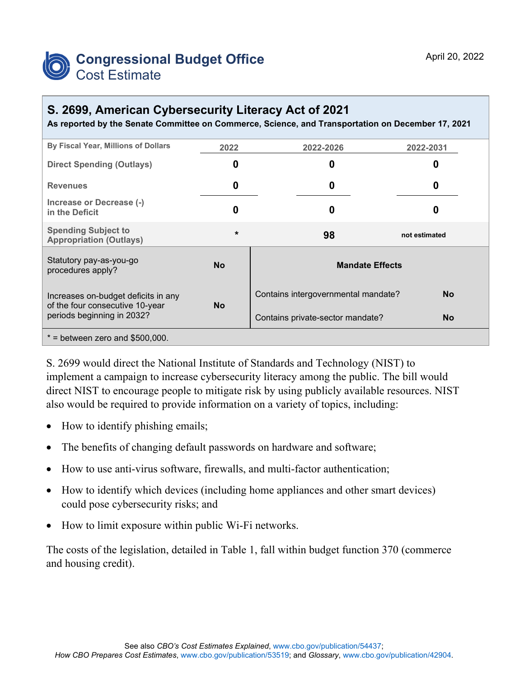

## **S. 2699, American Cybersecurity Literacy Act of 2021**

**As reported by the Senate Committee on Commerce, Science, and Transportation on December 17, 2021**

| By Fiscal Year, Millions of Dollars                                                                  | 2022      | 2022-2026                           | 2022-2031     |  |
|------------------------------------------------------------------------------------------------------|-----------|-------------------------------------|---------------|--|
| <b>Direct Spending (Outlays)</b>                                                                     | 0         | 0                                   | O             |  |
| <b>Revenues</b>                                                                                      | 0         | 0                                   | O             |  |
| Increase or Decrease (-)<br>in the Deficit                                                           | 0         | 0                                   | O             |  |
| <b>Spending Subject to</b><br><b>Appropriation (Outlays)</b>                                         | $\star$   | 98                                  | not estimated |  |
| Statutory pay-as-you-go<br>procedures apply?                                                         | <b>No</b> | <b>Mandate Effects</b>              |               |  |
| Increases on-budget deficits in any<br>of the four consecutive 10-year<br>periods beginning in 2032? | <b>No</b> | Contains intergovernmental mandate? | <b>No</b>     |  |
|                                                                                                      |           | Contains private-sector mandate?    | <b>No</b>     |  |
| $*$ = between zero and \$500,000.                                                                    |           |                                     |               |  |

S. 2699 would direct the National Institute of Standards and Technology (NIST) to implement a campaign to increase cybersecurity literacy among the public. The bill would direct NIST to encourage people to mitigate risk by using publicly available resources. NIST also would be required to provide information on a variety of topics, including:

- How to identify phishing emails;
- The benefits of changing default passwords on hardware and software;
- How to use anti-virus software, firewalls, and multi-factor authentication;
- How to identify which devices (including home appliances and other smart devices) could pose cybersecurity risks; and
- How to limit exposure within public Wi-Fi networks.

The costs of the legislation, detailed in Table 1, fall within budget function 370 (commerce and housing credit).